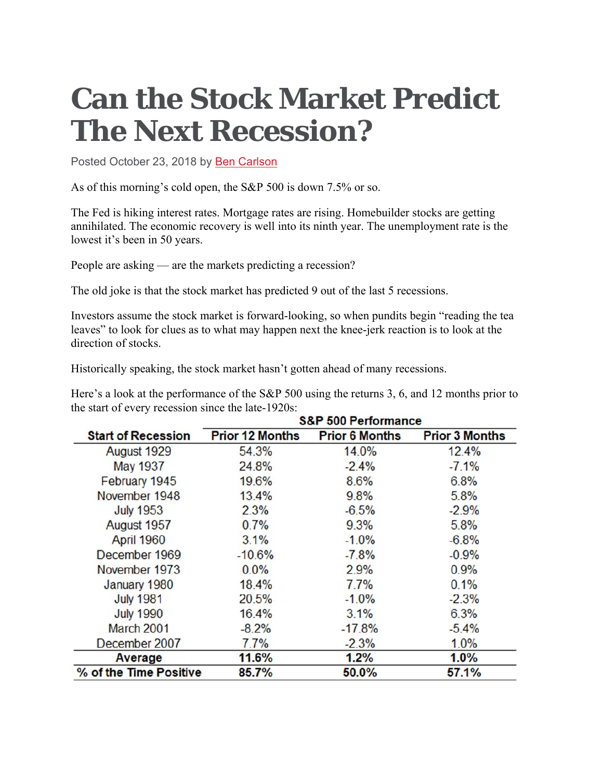## **Can the Stock Market Predict The Next Recession?**

Posted October 23, 2018 by Ben Carlson

As of this morning's cold open, the S&P 500 is down 7.5% or so.

The Fed is hiking interest rates. Mortgage rates are rising. Homebuilder stocks are getting annihilated. The economic recovery is well into its ninth year. The unemployment rate is the lowest it's been in 50 years.

People are asking — are the markets predicting a recession?

The old joke is that the stock market has predicted 9 out of the last 5 recessions.

Investors assume the stock market is forward-looking, so when pundits begin "reading the tea leaves" to look for clues as to what may happen next the knee-jerk reaction is to look at the direction of stocks.

Historically speaking, the stock market hasn't gotten ahead of many recessions.

Here's a look at the performance of the S&P 500 using the returns 3, 6, and 12 months prior to the start of every recession since the late-1920s:

|                           | <b>S&amp;P 500 Performance</b> |                       |                       |
|---------------------------|--------------------------------|-----------------------|-----------------------|
| <b>Start of Recession</b> | <b>Prior 12 Months</b>         | <b>Prior 6 Months</b> | <b>Prior 3 Months</b> |
| August 1929               | 54.3%                          | 14.0%                 | 12.4%                 |
| <b>May 1937</b>           | 24.8%                          | $-2.4%$               | $-7.1%$               |
| February 1945             | 19.6%                          | 8.6%                  | 6.8%                  |
| November 1948             | 13.4%                          | 9.8%                  | 5.8%                  |
| <b>July 1953</b>          | 2.3%                           | $-6.5%$               | $-2.9%$               |
| August 1957               | 0.7%                           | 9.3%                  | 5.8%                  |
| April 1960                | 3.1%                           | $-1.0%$               | $-6.8%$               |
| December 1969             | $-10.6%$                       | $-7.8%$               | $-0.9%$               |
| November 1973             | 0.0%                           | 2.9%                  | 0.9%                  |
| January 1980              | 18.4%                          | 7.7%                  | 0.1%                  |
| <b>July 1981</b>          | 20.5%                          | $-1.0%$               | $-2.3%$               |
| <b>July 1990</b>          | 16.4%                          | 3.1%                  | 6.3%                  |
| March 2001                | $-8.2%$                        | $-17.8%$              | $-5.4%$               |
| December 2007             | 7.7%                           | $-2.3%$               | 1.0%                  |
| Average                   | 11.6%                          | 1.2%                  | 1.0%                  |
| % of the Time Positive    | 85.7%                          | 50.0%                 | 57.1%                 |